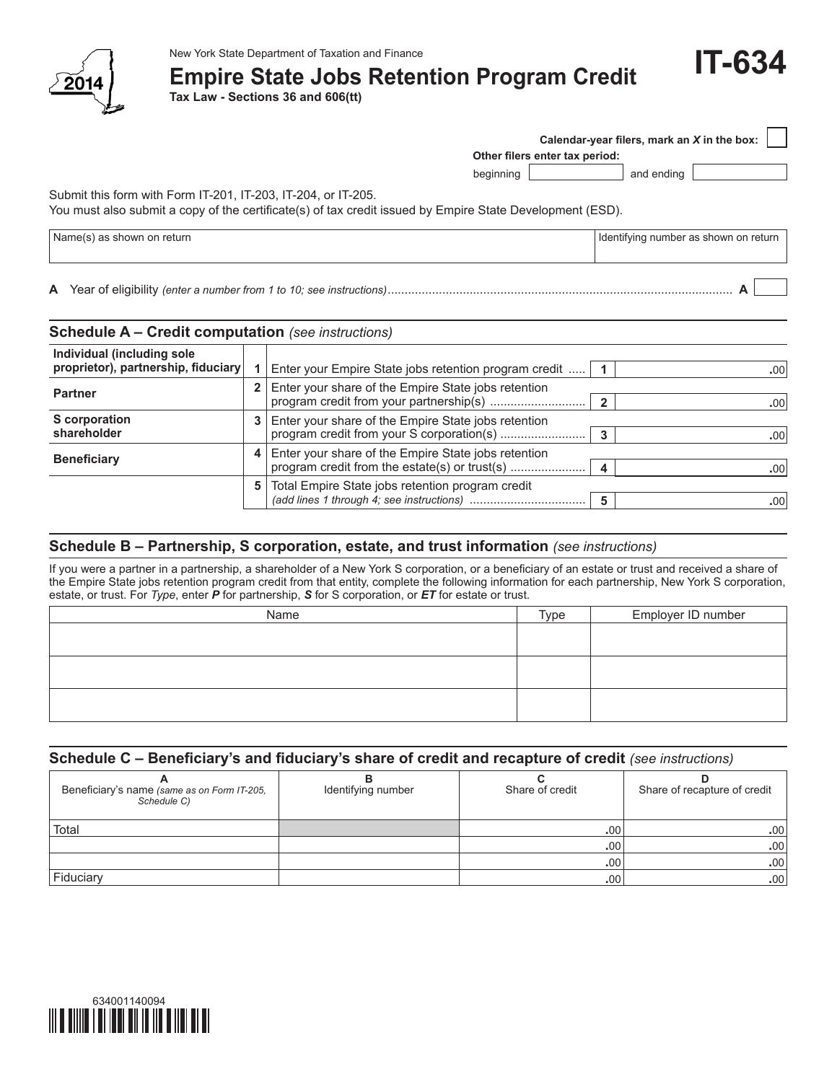

## **Empire State Jobs Retention Program Credit**

**Tax Law - Sections 36 and 606(tt)**

|  | <b>IT-634</b> |  |
|--|---------------|--|
|  |               |  |

**Other filers enter tax period: Calendar-year filers, mark an** *X* **in the box:**

beginning and ending

Submit this form with Form IT-201, IT-203, IT-204, or IT-205.

You must also submit a copy of the certificate(s) of tax credit issued by Empire State Development (ESD).

| 'Name.<br>--<br>snowr<br>.on<br>return | ้า on return<br>Identifving<br>number<br><sup>.</sup> as snown |  |
|----------------------------------------|----------------------------------------------------------------|--|
|                                        |                                                                |  |

**A** Year of eligibility *(enter a number from 1 to 10; see instructions)*..................................................................................................... **A**

| <b>Schedule A – Credit computation</b> (see instructions)         |    |                                                                                                      |                |                  |
|-------------------------------------------------------------------|----|------------------------------------------------------------------------------------------------------|----------------|------------------|
| Individual (including sole<br>proprietor), partnership, fiduciary |    | Enter your Empire State jobs retention program credit                                                |                | .00              |
| <b>Partner</b>                                                    |    | Enter your share of the Empire State jobs retention                                                  | $\overline{2}$ | .00 <sub>1</sub> |
| S corporation<br>shareholder                                      |    | Enter your share of the Empire State jobs retention                                                  | 3              | .00              |
| <b>Beneficiary</b>                                                | 4  | Enter your share of the Empire State jobs retention<br>program credit from the estate(s) or trust(s) | $\overline{4}$ | .00              |
|                                                                   | 5. | Total Empire State jobs retention program credit                                                     | 5              | .00              |

## **Schedule B – Partnership, S corporation, estate, and trust information** *(see instructions)*

If you were a partner in a partnership, a shareholder of a New York S corporation, or a beneficiary of an estate or trust and received a share of the Empire State jobs retention program credit from that entity, complete the following information for each partnership, New York S corporation, estate, or trust. For *Type*, enter *P* for partnership, *S* for S corporation, or *ET* for estate or trust.

## **Schedule C – Beneficiary's and fiduciary's share of credit and recapture of credit** *(see instructions)*

| Beneficiary's name (same as on Form IT-205,<br>Schedule C) | Identifying number | Share of credit  | Share of recapture of credit |
|------------------------------------------------------------|--------------------|------------------|------------------------------|
| Total                                                      |                    | .00 <sup>1</sup> | .00                          |
|                                                            |                    | .00 <sup>1</sup> | .00                          |
|                                                            |                    | .00 <sup>1</sup> | .00 <sub>1</sub>             |
| Fiduciary                                                  |                    | .00 <sup>1</sup> | .00 <sub>1</sub>             |